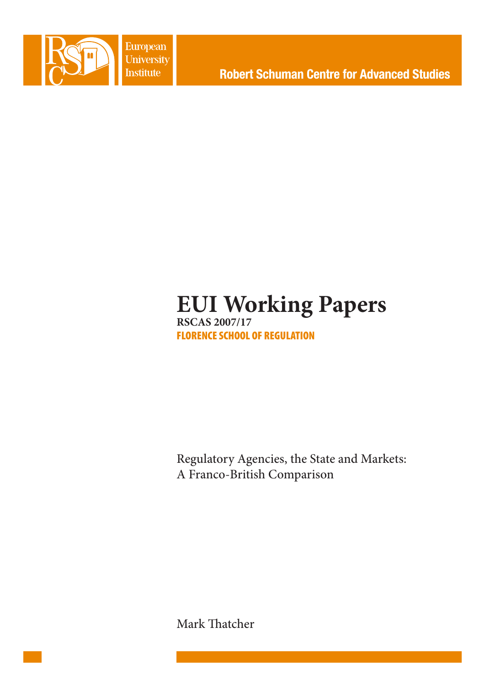

**European** University **Institute** 

# **EUI Working Papers RSCAS 2007/17** FLORENCE SCHOOL OF REGULATION

Regulatory Agencies, the State and Markets: A Franco-British Comparison

Mark Thatcher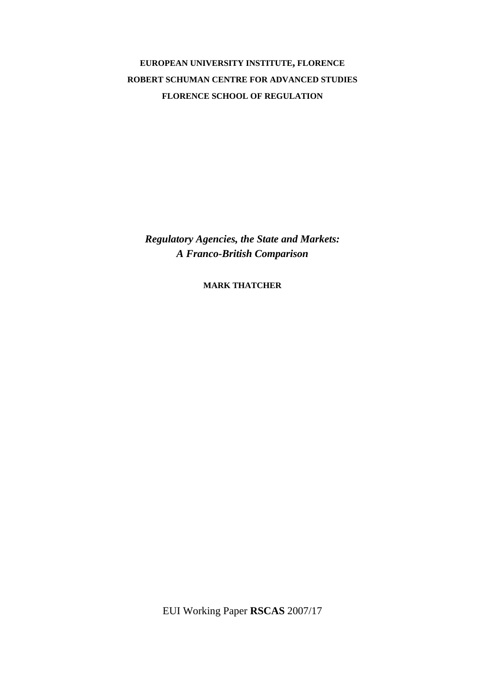**EUROPEAN UNIVERSITY INSTITUTE, FLORENCE ROBERT SCHUMAN CENTRE FOR ADVANCED STUDIES FLORENCE SCHOOL OF REGULATION**

*Regulatory Agencies, the State and Markets: A Franco-British Comparison* 

**MARK THATCHER**

EUI Working Paper **RSCAS** 2007/17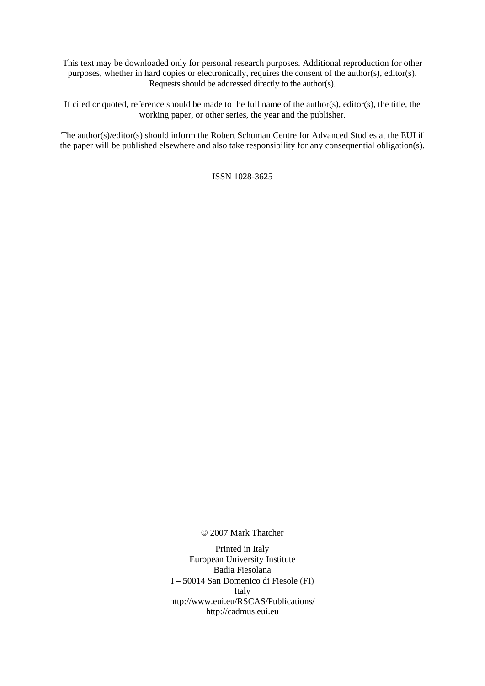This text may be downloaded only for personal research purposes. Additional reproduction for other purposes, whether in hard copies or electronically, requires the consent of the author(s), editor(s). Requests should be addressed directly to the author(s).

If cited or quoted, reference should be made to the full name of the author(s), editor(s), the title, the working paper, or other series, the year and the publisher.

The author(s)/editor(s) should inform the Robert Schuman Centre for Advanced Studies at the EUI if the paper will be published elsewhere and also take responsibility for any consequential obligation(s).

ISSN 1028-3625

© 2007 Mark Thatcher

Printed in Italy European University Institute Badia Fiesolana I – 50014 San Domenico di Fiesole (FI) Italy [http://www.eui.eu/RSCAS/Publications/](http://www.eui.eu/RSCAS/Publications)  <http://cadmus.eui.eu>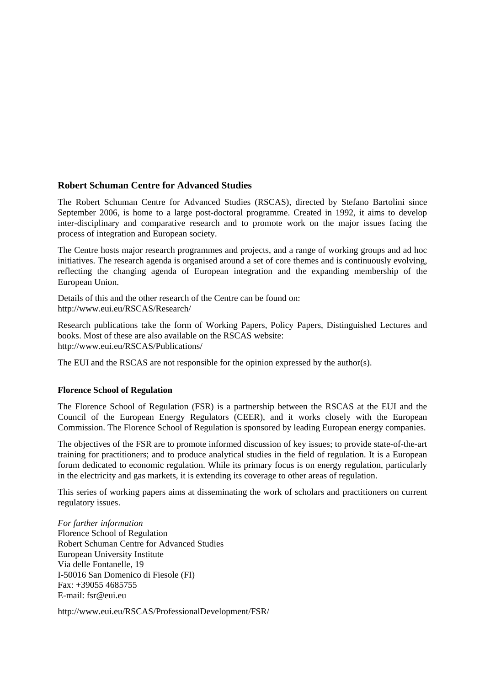# **Robert Schuman Centre for Advanced Studies**

The Robert Schuman Centre for Advanced Studies (RSCAS), directed by Stefano Bartolini since September 2006, is home to a large post-doctoral programme. Created in 1992, it aims to develop inter-disciplinary and comparative research and to promote work on the major issues facing the process of integration and European society.

The Centre hosts major research programmes and projects, and a range of working groups and ad hoc initiatives. The research agenda is organised around a set of core themes and is continuously evolving, reflecting the changing agenda of European integration and the expanding membership of the European Union.

Details of this and the other research of the Centre can be found on: [http://www.eui.eu/RSCAS/Research/](http://www.eui.eu/RSCAS/Research) 

Research publications take the form of Working Papers, Policy Papers, Distinguished Lectures and books. Most of these are also available on the RSCAS website: [http://www.eui.eu/RSCAS/Publications/](http://www.eui.eu/RSCAS/Publications) 

The EUI and the RSCAS are not responsible for the opinion expressed by the author(s).

## **Florence School of Regulation**

The Florence School of Regulation (FSR) is a partnership between the RSCAS at the EUI and the Council of the European Energy Regulators (CEER), and it works closely with the European Commission. The Florence School of Regulation is sponsored by leading European energy companies.

The objectives of the FSR are to promote informed discussion of key issues; to provide state-of-the-art training for practitioners; and to produce analytical studies in the field of regulation. It is a European forum dedicated to economic regulation. While its primary focus is on energy regulation, particularly in the electricity and gas markets, it is extending its coverage to other areas of regulation.

This series of working papers aims at disseminating the work of scholars and practitioners on current regulatory issues.

*For further information*  Florence School of Regulation Robert Schuman Centre for Advanced Studies European University Institute Via delle Fontanelle, 19 I-50016 San Domenico di Fiesole (FI) Fax: +39055 4685755 E-mail: [fsr@eui.eu](mailto:fsr@eui.eu) 

[http://www.eui.eu/RSCAS/ProfessionalDevelopment/FSR/](http://www.eui.eu/RSCAS/ProfessionalDevelopment/FSR)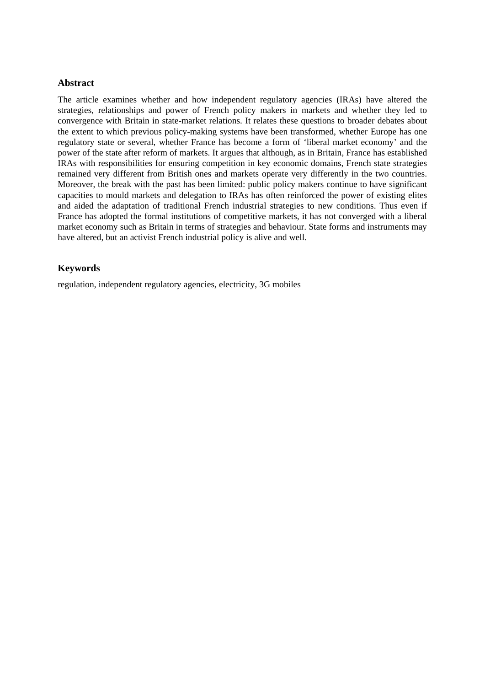## **Abstract**

The article examines whether and how independent regulatory agencies (IRAs) have altered the strategies, relationships and power of French policy makers in markets and whether they led to convergence with Britain in state-market relations. It relates these questions to broader debates about the extent to which previous policy-making systems have been transformed, whether Europe has one regulatory state or several, whether France has become a form of 'liberal market economy' and the power of the state after reform of markets. It argues that although, as in Britain, France has established IRAs with responsibilities for ensuring competition in key economic domains, French state strategies remained very different from British ones and markets operate very differently in the two countries. Moreover, the break with the past has been limited: public policy makers continue to have significant capacities to mould markets and delegation to IRAs has often reinforced the power of existing elites and aided the adaptation of traditional French industrial strategies to new conditions. Thus even if France has adopted the formal institutions of competitive markets, it has not converged with a liberal market economy such as Britain in terms of strategies and behaviour. State forms and instruments may have altered, but an activist French industrial policy is alive and well.

## **Keywords**

regulation, independent regulatory agencies, electricity, 3G mobiles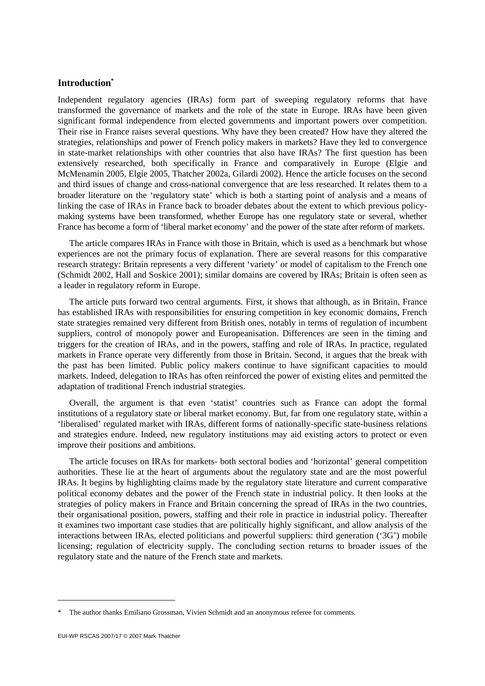## **Introduction\***

Independent regulatory agencies (IRAs) form part of sweeping regulatory reforms that have transformed the governance of markets and the role of the state in Europe. IRAs have been given significant formal independence from elected governments and important powers over competition. Their rise in France raises several questions. Why have they been created? How have they altered the strategies, relationships and power of French policy makers in markets? Have they led to convergence in state-market relationships with other countries that also have IRAs? The first question has been extensively researched, both specifically in France and comparatively in Europe (Elgie and McMenamin 2005, Elgie 2005, Thatcher 2002a, Gilardi 2002). Hence the article focuses on the second and third issues of change and cross-national convergence that are less researched. It relates them to a broader literature on the 'regulatory state' which is both a starting point of analysis and a means of linking the case of IRAs in France back to broader debates about the extent to which previous policymaking systems have been transformed, whether Europe has one regulatory state or several, whether France has become a form of 'liberal market economy' and the power of the state after reform of markets.

The article compares IRAs in France with those in Britain, which is used as a benchmark but whose experiences are not the primary focus of explanation. There are several reasons for this comparative research strategy: Britain represents a very different 'variety' or model of capitalism to the French one (Schmidt 2002, Hall and Soskice 2001); similar domains are covered by IRAs; Britain is often seen as a leader in regulatory reform in Europe.

The article puts forward two central arguments. First, it shows that although, as in Britain, France has established IRAs with responsibilities for ensuring competition in key economic domains, French state strategies remained very different from British ones, notably in terms of regulation of incumbent suppliers, control of monopoly power and Europeanisation. Differences are seen in the timing and triggers for the creation of IRAs, and in the powers, staffing and role of IRAs. In practice, regulated markets in France operate very differently from those in Britain. Second, it argues that the break with the past has been limited. Public policy makers continue to have significant capacities to mould markets. Indeed, delegation to IRAs has often reinforced the power of existing elites and permitted the adaptation of traditional French industrial strategies.

Overall, the argument is that even 'statist' countries such as France can adopt the formal institutions of a regulatory state or liberal market economy. But, far from one regulatory state, within a 'liberalised' regulated market with IRAs, different forms of nationally-specific state-business relations and strategies endure. Indeed, new regulatory institutions may aid existing actors to protect or even improve their positions and ambitions.

The article focuses on IRAs for markets- both sectoral bodies and 'horizontal' general competition authorities. These lie at the heart of arguments about the regulatory state and are the most powerful IRAs. It begins by highlighting claims made by the regulatory state literature and current comparative political economy debates and the power of the French state in industrial policy. It then looks at the strategies of policy makers in France and Britain concerning the spread of IRAs in the two countries, their organisational position, powers, staffing and their role in practice in industrial policy. Thereafter it examines two important case studies that are politically highly significant, and allow analysis of the interactions between IRAs, elected politicians and powerful suppliers: third generation ('3G') mobile licensing; regulation of electricity supply. The concluding section returns to broader issues of the regulatory state and the nature of the French state and markets.

<sup>\*</sup> The author thanks Emiliano Grossman, Vivien Schmidt and an anonymous referee for comments.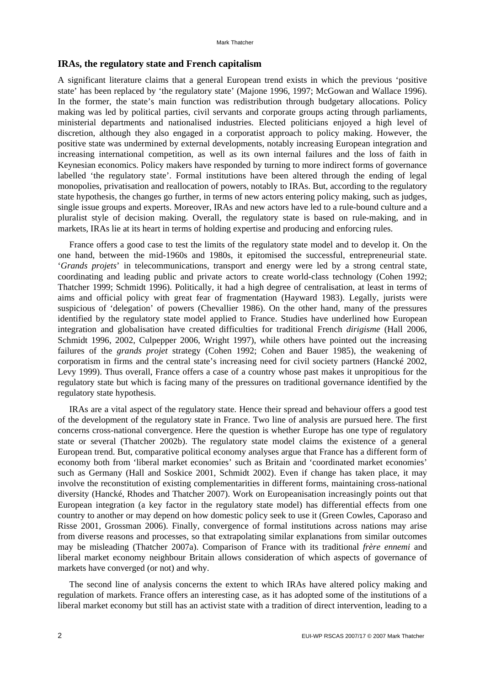## **IRAs, the regulatory state and French capitalism**

A significant literature claims that a general European trend exists in which the previous 'positive state' has been replaced by 'the regulatory state' (Majone 1996, 1997; McGowan and Wallace 1996). In the former, the state's main function was redistribution through budgetary allocations. Policy making was led by political parties, civil servants and corporate groups acting through parliaments, ministerial departments and nationalised industries. Elected politicians enjoyed a high level of discretion, although they also engaged in a corporatist approach to policy making. However, the positive state was undermined by external developments, notably increasing European integration and increasing international competition, as well as its own internal failures and the loss of faith in Keynesian economics. Policy makers have responded by turning to more indirect forms of governance labelled 'the regulatory state'. Formal institutions have been altered through the ending of legal monopolies, privatisation and reallocation of powers, notably to IRAs. But, according to the regulatory state hypothesis, the changes go further, in terms of new actors entering policy making, such as judges, single issue groups and experts. Moreover, IRAs and new actors have led to a rule-bound culture and a pluralist style of decision making. Overall, the regulatory state is based on rule-making, and in markets, IRAs lie at its heart in terms of holding expertise and producing and enforcing rules.

France offers a good case to test the limits of the regulatory state model and to develop it. On the one hand, between the mid-1960s and 1980s, it epitomised the successful, entrepreneurial state. '*Grands projets*' in telecommunications, transport and energy were led by a strong central state, coordinating and leading public and private actors to create world-class technology (Cohen 1992; Thatcher 1999; Schmidt 1996). Politically, it had a high degree of centralisation, at least in terms of aims and official policy with great fear of fragmentation (Hayward 1983). Legally, jurists were suspicious of 'delegation' of powers (Chevallier 1986). On the other hand, many of the pressures identified by the regulatory state model applied to France. Studies have underlined how European integration and globalisation have created difficulties for traditional French *dirigisme* (Hall 2006, Schmidt 1996, 2002, Culpepper 2006, Wright 1997), while others have pointed out the increasing failures of the *grands projet* strategy (Cohen 1992; Cohen and Bauer 1985), the weakening of corporatism in firms and the central state's increasing need for civil society partners (Hancké 2002, Levy 1999). Thus overall, France offers a case of a country whose past makes it unpropitious for the regulatory state but which is facing many of the pressures on traditional governance identified by the regulatory state hypothesis.

IRAs are a vital aspect of the regulatory state. Hence their spread and behaviour offers a good test of the development of the regulatory state in France. Two line of analysis are pursued here. The first concerns cross-national convergence. Here the question is whether Europe has one type of regulatory state or several (Thatcher 2002b). The regulatory state model claims the existence of a general European trend. But, comparative political economy analyses argue that France has a different form of economy both from 'liberal market economies' such as Britain and 'coordinated market economies' such as Germany (Hall and Soskice 2001, Schmidt 2002). Even if change has taken place, it may involve the reconstitution of existing complementarities in different forms, maintaining cross-national diversity (Hancké, Rhodes and Thatcher 2007). Work on Europeanisation increasingly points out that European integration (a key factor in the regulatory state model) has differential effects from one country to another or may depend on how domestic policy seek to use it (Green Cowles, Caporaso and Risse 2001, Grossman 2006). Finally, convergence of formal institutions across nations may arise from diverse reasons and processes, so that extrapolating similar explanations from similar outcomes may be misleading (Thatcher 2007a). Comparison of France with its traditional *frère ennemi* and liberal market economy neighbour Britain allows consideration of which aspects of governance of markets have converged (or not) and why.

The second line of analysis concerns the extent to which IRAs have altered policy making and regulation of markets. France offers an interesting case, as it has adopted some of the institutions of a liberal market economy but still has an activist state with a tradition of direct intervention, leading to a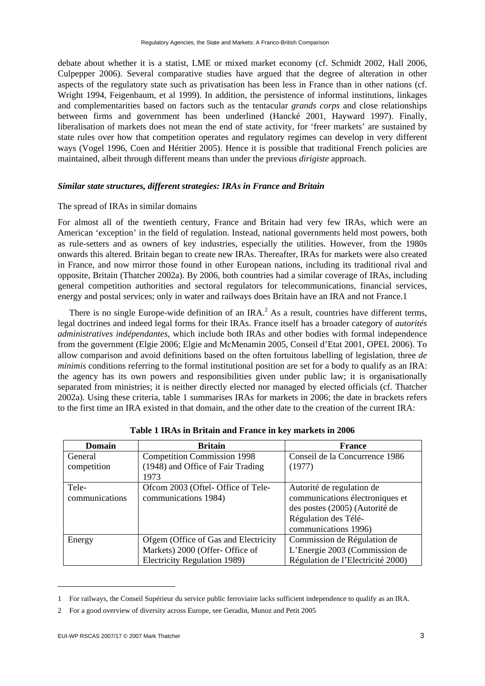debate about whether it is a statist, LME or mixed market economy (cf. Schmidt 2002, Hall 2006, Culpepper 2006). Several comparative studies have argued that the degree of alteration in other aspects of the regulatory state such as privatisation has been less in France than in other nations (cf. Wright 1994, Feigenbaum, et al 1999). In addition, the persistence of informal institutions, linkages and complementarities based on factors such as the tentacular *grands corps* and close relationships between firms and government has been underlined (Hancké 2001, Hayward 1997). Finally, liberalisation of markets does not mean the end of state activity, for 'freer markets' are sustained by state rules over how that competition operates and regulatory regimes can develop in very different ways (Vogel 1996, Coen and Héritier 2005). Hence it is possible that traditional French policies are maintained, albeit through different means than under the previous *dirigiste* approach.

## *Similar state structures, different strategies: IRAs in France and Britain*

## The spread of IRAs in similar domains

For almost all of the twentieth century, France and Britain had very few IRAs, which were an American 'exception' in the field of regulation. Instead, national governments held most powers, both as rule-setters and as owners of key industries, especially the utilities. However, from the 1980s onwards this altered. Britain began to create new IRAs. Thereafter, IRAs for markets were also created in France, and now mirror those found in other European nations, including its traditional rival and opposite, Britain (Thatcher 2002a). By 2006, both countries had a similar coverage of IRAs, including general competition authorities and sectoral regulators for telecommunications, financial services, energy and postal services; only in water and railways does Britain have an IRA and not France.1

There is no single Europe-wide definition of an IRA.<sup>2</sup> As a result, countries have different terms, legal doctrines and indeed legal forms for their IRAs. France itself has a broader category of *autorités administratives indépendantes*, which include both IRAs and other bodies with formal independence from the government (Elgie 2006; Elgie and McMenamin 2005, Conseil d'Etat 2001, OPEL 2006). To allow comparison and avoid definitions based on the often fortuitous labelling of legislation, three *de minimis* conditions referring to the formal institutional position are set for a body to qualify as an IRA: the agency has its own powers and responsibilities given under public law; it is organisationally separated from ministries; it is neither directly elected nor managed by elected officials (cf. Thatcher 2002a). Using these criteria, table 1 summarises IRAs for markets in 2006; the date in brackets refers to the first time an IRA existed in that domain, and the other date to the creation of the current IRA:

| <b>Domain</b>           | <b>Britain</b>                                                                                          | <b>France</b>                                                                                                                                  |
|-------------------------|---------------------------------------------------------------------------------------------------------|------------------------------------------------------------------------------------------------------------------------------------------------|
| General<br>competition  | <b>Competition Commission 1998</b><br>(1948) and Office of Fair Trading<br>1973                         | Conseil de la Concurrence 1986<br>(1977)                                                                                                       |
| Tele-<br>communications | Ofcom 2003 (Oftel- Office of Tele-<br>communications 1984)                                              | Autorité de regulation de<br>communications électroniques et<br>des postes (2005) (Autorité de<br>Régulation des Télé-<br>communications 1996) |
| Energy                  | Ofgem (Office of Gas and Electricity<br>Markets) 2000 (Offer- Office of<br>Electricity Regulation 1989) | Commission de Régulation de<br>L'Energie 2003 (Commission de<br>Régulation de l'Electricité 2000)                                              |

**Table 1 IRAs in Britain and France in key markets in 2006** 

<sup>1</sup> For railways, the Conseil Supérieur du service public ferroviaire lacks sufficient independence to qualify as an IRA.

<sup>2</sup> For a good overview of diversity across Europe, see Geradin, Munoz and Petit 2005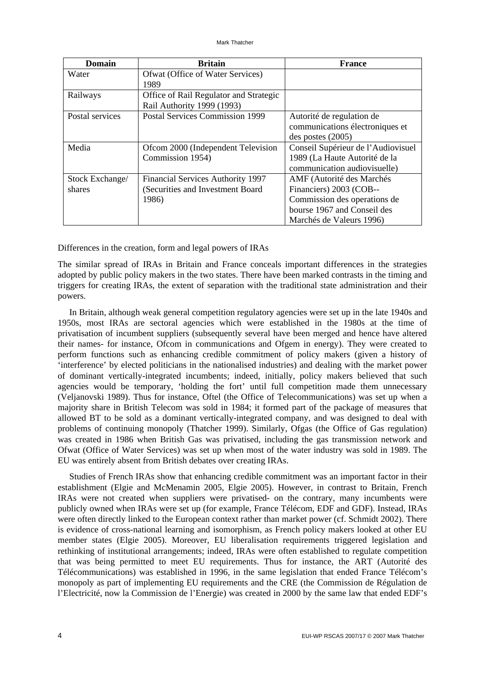| Domain          | <b>Britain</b>                           | <b>France</b>                      |
|-----------------|------------------------------------------|------------------------------------|
| Water           | Ofwat (Office of Water Services)         |                                    |
|                 | 1989                                     |                                    |
| Railways        | Office of Rail Regulator and Strategic   |                                    |
|                 | Rail Authority 1999 (1993)               |                                    |
| Postal services | <b>Postal Services Commission 1999</b>   | Autorité de regulation de          |
|                 |                                          | communications électroniques et    |
|                 |                                          | $des$ postes $(2005)$              |
| Media           | Ofcom 2000 (Independent Television       | Conseil Supérieur de l'Audiovisuel |
|                 | Commission 1954)                         | 1989 (La Haute Autorité de la      |
|                 |                                          | communication audiovisuelle)       |
| Stock Exchange/ | <b>Financial Services Authority 1997</b> | AMF (Autorité des Marchés          |
| shares          | (Securities and Investment Board)        | Financiers) 2003 (COB--            |
|                 | 1986)                                    | Commission des operations de       |
|                 |                                          | bourse 1967 and Conseil des        |
|                 |                                          | Marchés de Valeurs 1996)           |

Differences in the creation, form and legal powers of IRAs

The similar spread of IRAs in Britain and France conceals important differences in the strategies adopted by public policy makers in the two states. There have been marked contrasts in the timing and triggers for creating IRAs, the extent of separation with the traditional state administration and their powers.

In Britain, although weak general competition regulatory agencies were set up in the late 1940s and 1950s, most IRAs are sectoral agencies which were established in the 1980s at the time of privatisation of incumbent suppliers (subsequently several have been merged and hence have altered their names- for instance, Ofcom in communications and Ofgem in energy). They were created to perform functions such as enhancing credible commitment of policy makers (given a history of 'interference' by elected politicians in the nationalised industries) and dealing with the market power of dominant vertically-integrated incumbents; indeed, initially, policy makers believed that such agencies would be temporary, 'holding the fort' until full competition made them unnecessary (Veljanovski 1989). Thus for instance, Oftel (the Office of Telecommunications) was set up when a majority share in British Telecom was sold in 1984; it formed part of the package of measures that allowed BT to be sold as a dominant vertically-integrated company, and was designed to deal with problems of continuing monopoly (Thatcher 1999). Similarly, Ofgas (the Office of Gas regulation) was created in 1986 when British Gas was privatised, including the gas transmission network and Ofwat (Office of Water Services) was set up when most of the water industry was sold in 1989. The EU was entirely absent from British debates over creating IRAs.

Studies of French IRAs show that enhancing credible commitment was an important factor in their establishment (Elgie and McMenamin 2005, Elgie 2005). However, in contrast to Britain, French IRAs were not created when suppliers were privatised- on the contrary, many incumbents were publicly owned when IRAs were set up (for example, France Télécom, EDF and GDF). Instead, IRAs were often directly linked to the European context rather than market power (cf. Schmidt 2002). There is evidence of cross-national learning and isomorphism, as French policy makers looked at other EU member states (Elgie 2005). Moreover, EU liberalisation requirements triggered legislation and rethinking of institutional arrangements; indeed, IRAs were often established to regulate competition that was being permitted to meet EU requirements. Thus for instance, the ART (Autorité des Télécommunications) was established in 1996, in the same legislation that ended France Télécom's monopoly as part of implementing EU requirements and the CRE (the Commission de Régulation de l'Electricité, now la Commission de l'Energie) was created in 2000 by the same law that ended EDF's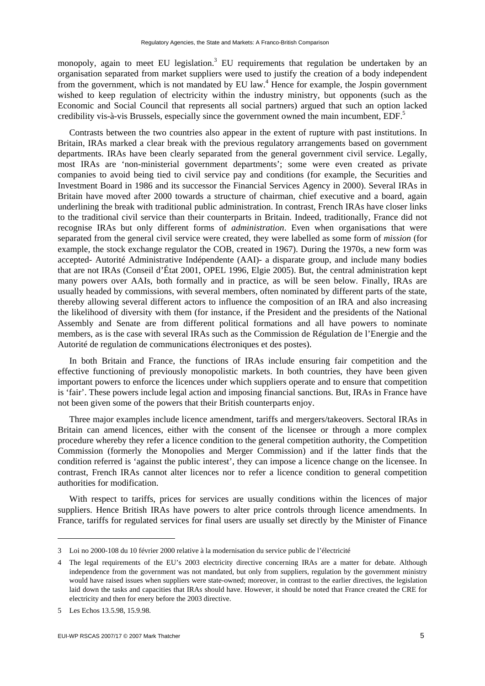monopoly, again to meet EU legislation.<sup>3</sup> EU requirements that regulation be undertaken by an organisation separated from market suppliers were used to justify the creation of a body independent from the government, which is not mandated by EU law.<sup>4</sup> Hence for example, the Jospin government wished to keep regulation of electricity within the industry ministry, but opponents (such as the Economic and Social Council that represents all social partners) argued that such an option lacked credibility vis-à-vis Brussels, especially since the government owned the main incumbent, EDF.<sup>5</sup>

Contrasts between the two countries also appear in the extent of rupture with past institutions. In Britain, IRAs marked a clear break with the previous regulatory arrangements based on government departments. IRAs have been clearly separated from the general government civil service. Legally, most IRAs are 'non-ministerial government departments'; some were even created as private companies to avoid being tied to civil service pay and conditions (for example, the Securities and Investment Board in 1986 and its successor the Financial Services Agency in 2000). Several IRAs in Britain have moved after 2000 towards a structure of chairman, chief executive and a board, again underlining the break with traditional public administration. In contrast, French IRAs have closer links to the traditional civil service than their counterparts in Britain. Indeed, traditionally, France did not recognise IRAs but only different forms of *administration*. Even when organisations that were separated from the general civil service were created, they were labelled as some form of *mission* (for example, the stock exchange regulator the COB, created in 1967). During the 1970s, a new form was accepted- Autorité Administrative Indépendente (AAI)- a disparate group, and include many bodies that are not IRAs (Conseil d'État 2001, OPEL 1996, Elgie 2005). But, the central administration kept many powers over AAIs, both formally and in practice, as will be seen below. Finally, IRAs are usually headed by commissions, with several members, often nominated by different parts of the state, thereby allowing several different actors to influence the composition of an IRA and also increasing the likelihood of diversity with them (for instance, if the President and the presidents of the National Assembly and Senate are from different political formations and all have powers to nominate members, as is the case with several IRAs such as the Commission de Régulation de l'Energie and the Autorité de regulation de communications électroniques et des postes).

In both Britain and France, the functions of IRAs include ensuring fair competition and the effective functioning of previously monopolistic markets. In both countries, they have been given important powers to enforce the licences under which suppliers operate and to ensure that competition is 'fair'. These powers include legal action and imposing financial sanctions. But, IRAs in France have not been given some of the powers that their British counterparts enjoy.

Three major examples include licence amendment, tariffs and mergers/takeovers. Sectoral IRAs in Britain can amend licences, either with the consent of the licensee or through a more complex procedure whereby they refer a licence condition to the general competition authority, the Competition Commission (formerly the Monopolies and Merger Commission) and if the latter finds that the condition referred is 'against the public interest', they can impose a licence change on the licensee. In contrast, French IRAs cannot alter licences nor to refer a licence condition to general competition authorities for modification.

With respect to tariffs, prices for services are usually conditions within the licences of major suppliers. Hence British IRAs have powers to alter price controls through licence amendments. In France, tariffs for regulated services for final users are usually set directly by the Minister of Finance

-

<sup>3</sup> Loi no 2000-108 du 10 février 2000 relative à la modernisation du service public de l'électricité

<sup>4</sup> The legal requirements of the EU's 2003 electricity directive concerning IRAs are a matter for debate. Although independence from the government was not mandated, but only from suppliers, regulation by the government ministry would have raised issues when suppliers were state-owned; moreover, in contrast to the earlier directives, the legislation laid down the tasks and capacities that IRAs should have. However, it should be noted that France created the CRE for electricity and then for enery before the 2003 directive.

<sup>5</sup> Les Echos 13.5.98, 15.9.98.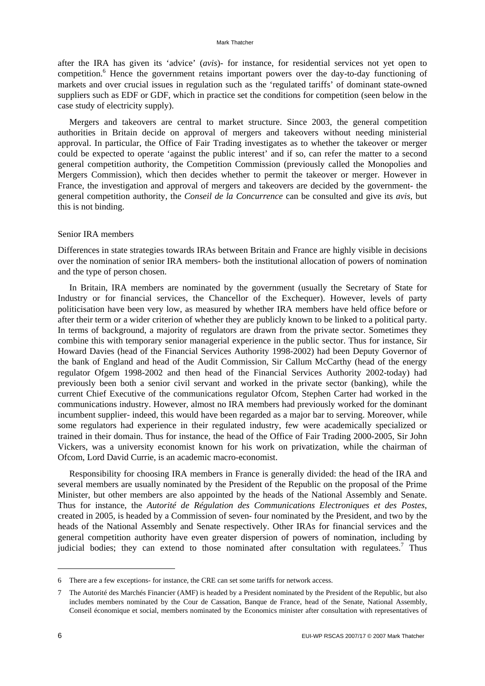#### Mark Thatcher

after the IRA has given its 'advice' (*avis*)- for instance, for residential services not yet open to competition.<sup>6</sup> Hence the government retains important powers over the day-to-day functioning of markets and over crucial issues in regulation such as the 'regulated tariffs' of dominant state-owned suppliers such as EDF or GDF, which in practice set the conditions for competition (seen below in the case study of electricity supply).

Mergers and takeovers are central to market structure. Since 2003, the general competition authorities in Britain decide on approval of mergers and takeovers without needing ministerial approval. In particular, the Office of Fair Trading investigates as to whether the takeover or merger could be expected to operate 'against the public interest' and if so, can refer the matter to a second general competition authority, the Competition Commission (previously called the Monopolies and Mergers Commission), which then decides whether to permit the takeover or merger. However in France, the investigation and approval of mergers and takeovers are decided by the government- the general competition authority, the *Conseil de la Concurrence* can be consulted and give its *avis*, but this is not binding.

#### Senior IRA members

Differences in state strategies towards IRAs between Britain and France are highly visible in decisions over the nomination of senior IRA members- both the institutional allocation of powers of nomination and the type of person chosen.

In Britain, IRA members are nominated by the government (usually the Secretary of State for Industry or for financial services, the Chancellor of the Exchequer). However, levels of party politicisation have been very low, as measured by whether IRA members have held office before or after their term or a wider criterion of whether they are publicly known to be linked to a political party. In terms of background, a majority of regulators are drawn from the private sector. Sometimes they combine this with temporary senior managerial experience in the public sector. Thus for instance, Sir Howard Davies (head of the Financial Services Authority 1998-2002) had been Deputy Governor of the bank of England and head of the Audit Commission, Sir Callum McCarthy (head of the energy regulator Ofgem 1998-2002 and then head of the Financial Services Authority 2002-today) had previously been both a senior civil servant and worked in the private sector (banking), while the current Chief Executive of the communications regulator Ofcom, Stephen Carter had worked in the communications industry. However, almost no IRA members had previously worked for the dominant incumbent supplier- indeed, this would have been regarded as a major bar to serving. Moreover, while some regulators had experience in their regulated industry, few were academically specialized or trained in their domain. Thus for instance, the head of the Office of Fair Trading 2000-2005, Sir John Vickers, was a university economist known for his work on privatization, while the chairman of Ofcom, Lord David Currie, is an academic macro-economist.

Responsibility for choosing IRA members in France is generally divided: the head of the IRA and several members are usually nominated by the President of the Republic on the proposal of the Prime Minister, but other members are also appointed by the heads of the National Assembly and Senate. Thus for instance, the *Autorité de Régulation des Communications Electroniques et des Postes*, created in 2005, is headed by a Commission of seven- four nominated by the President, and two by the heads of the National Assembly and Senate respectively. Other IRAs for financial services and the general competition authority have even greater dispersion of powers of nomination, including by judicial bodies; they can extend to those nominated after consultation with regulatees.<sup>7</sup> Thus

<sup>6</sup> There are a few exceptions- for instance, the CRE can set some tariffs for network access.

<sup>7</sup> The Autorité des Marchés Financier (AMF) is headed by a President nominated by the President of the Republic, but also includes members nominated by the Cour de Cassation, Banque de France, head of the Senate, National Assembly, Conseil économique et social, members nominated by the Economics minister after consultation with representatives of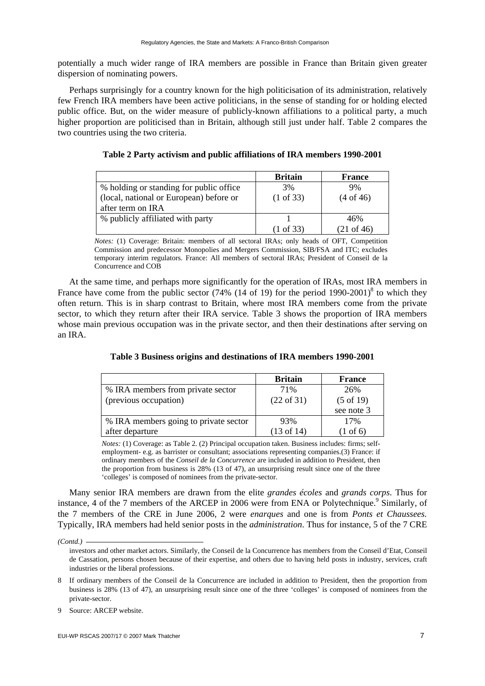potentially a much wider range of IRA members are possible in France than Britain given greater dispersion of nominating powers.

Perhaps surprisingly for a country known for the high politicisation of its administration, relatively few French IRA members have been active politicians, in the sense of standing for or holding elected public office. But, on the wider measure of publicly-known affiliations to a political party, a much higher proportion are politicised than in Britain, although still just under half. Table 2 compares the two countries using the two criteria.

|                                         | <b>Britain</b>       | <b>France</b>        |
|-----------------------------------------|----------------------|----------------------|
| % holding or standing for public office | 3%                   | 9%                   |
| (local, national or European) before or | $(1 \text{ of } 33)$ | $(4 \text{ of } 46)$ |
| after term on IRA                       |                      |                      |
| % publicly affiliated with party        |                      |                      |

**Table 2 Party activism and public affiliations of IRA members 1990-2001** 

*Notes:* (1) Coverage: Britain: members of all sectoral IRAs; only heads of OFT, Competition Commission and predecessor Monopolies and Mergers Commission, SIB/FSA and ITC; excludes temporary interim regulators. France: All members of sectoral IRAs; President of Conseil de la Concurrence and COB

(1 of 33)

(21 of 46)

At the same time, and perhaps more significantly for the operation of IRAs, most IRA members in France have come from the public sector (74% (14 of 19) for the period 1990-2001)<sup>8</sup> to which they often return. This is in sharp contrast to Britain, where most IRA members come from the private sector, to which they return after their IRA service. Table 3 shows the proportion of IRA members whose main previous occupation was in the private sector, and then their destinations after serving on an IRA.

|                                       | <b>Britain</b>        | <b>France</b>        |
|---------------------------------------|-----------------------|----------------------|
| % IRA members from private sector     | 71%                   | 26%                  |
| (previous occupation)                 | $(22 \text{ of } 31)$ | $(5 \text{ of } 19)$ |
|                                       |                       | see note 3           |
| % IRA members going to private sector | 93%                   | 17%                  |
| after departure                       | $(13 \text{ of } 14)$ | $(1 \text{ of } 6)$  |

**Table 3 Business origins and destinations of IRA members 1990-2001** 

*Notes:* (1) Coverage: as Table 2. (2) Principal occupation taken. Business includes: firms; selfemployment- e.g. as barrister or consultant; associations representing companies.(3) France: if ordinary members of the *Conseil de la Concurrence* are included in addition to President, then the proportion from business is 28% (13 of 47), an unsurprising result since one of the three 'colleges' is composed of nominees from the private-sector.

Many senior IRA members are drawn from the elite *grandes écoles* and *grands corps*. Thus for instance, 4 of the 7 members of the ARCEP in 2006 were from ENA or Polytechnique.<sup>9</sup> Similarly, of the 7 members of the CRE in June 2006, 2 were *enarques* and one is from *Ponts et Chaussees.* Typically, IRA members had held senior posts in the *administration*. Thus for instance, 5 of the 7 CRE

*<sup>(</sup>Contd.)* 

investors and other market actors. Similarly, the Conseil de la Concurrence has members from the Conseil d'Etat, Conseil de Cassation, persons chosen because of their expertise, and others due to having held posts in industry, services, craft industries or the liberal professions.

<sup>8</sup> If ordinary members of the Conseil de la Concurrence are included in addition to President, then the proportion from business is 28% (13 of 47), an unsurprising result since one of the three 'colleges' is composed of nominees from the private-sector.

Source: ARCEP website.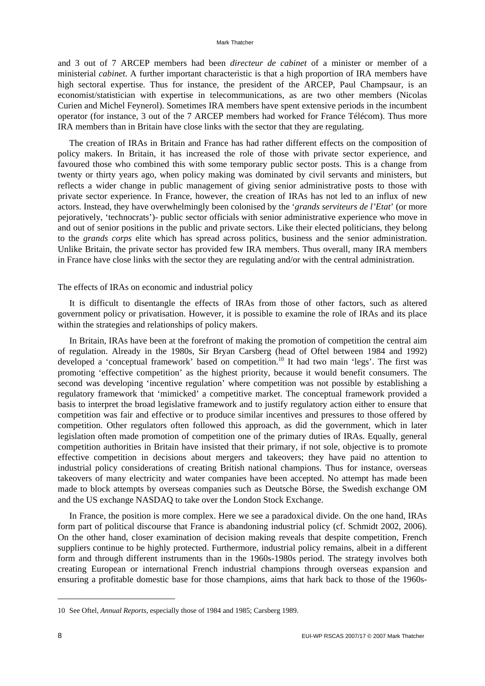#### Mark Thatcher

and 3 out of 7 ARCEP members had been *directeur de cabinet* of a minister or member of a ministerial *cabinet*. A further important characteristic is that a high proportion of IRA members have high sectoral expertise. Thus for instance, the president of the ARCEP, Paul Champsaur, is an economist/statistician with expertise in telecommunications, as are two other members (Nicolas Curien and Michel Feynerol). Sometimes IRA members have spent extensive periods in the incumbent operator (for instance, 3 out of the 7 ARCEP members had worked for France Télécom). Thus more IRA members than in Britain have close links with the sector that they are regulating.

The creation of IRAs in Britain and France has had rather different effects on the composition of policy makers. In Britain, it has increased the role of those with private sector experience, and favoured those who combined this with some temporary public sector posts. This is a change from twenty or thirty years ago, when policy making was dominated by civil servants and ministers, but reflects a wider change in public management of giving senior administrative posts to those with private sector experience. In France, however, the creation of IRAs has not led to an influx of new actors. Instead, they have overwhelmingly been colonised by the '*grands serviteurs de l'Etat*' (or more pejoratively, 'technocrats')- public sector officials with senior administrative experience who move in and out of senior positions in the public and private sectors. Like their elected politicians, they belong to the *grands corps* elite which has spread across politics, business and the senior administration. Unlike Britain, the private sector has provided few IRA members. Thus overall, many IRA members in France have close links with the sector they are regulating and/or with the central administration.

#### The effects of IRAs on economic and industrial policy

It is difficult to disentangle the effects of IRAs from those of other factors, such as altered government policy or privatisation. However, it is possible to examine the role of IRAs and its place within the strategies and relationships of policy makers.

In Britain, IRAs have been at the forefront of making the promotion of competition the central aim of regulation. Already in the 1980s, Sir Bryan Carsberg (head of Oftel between 1984 and 1992) developed a 'conceptual framework' based on competition.<sup>10</sup> It had two main 'legs'. The first was promoting 'effective competition' as the highest priority, because it would benefit consumers. The second was developing 'incentive regulation' where competition was not possible by establishing a regulatory framework that 'mimicked' a competitive market. The conceptual framework provided a basis to interpret the broad legislative framework and to justify regulatory action either to ensure that competition was fair and effective or to produce similar incentives and pressures to those offered by competition. Other regulators often followed this approach, as did the government, which in later legislation often made promotion of competition one of the primary duties of IRAs. Equally, general competition authorities in Britain have insisted that their primary, if not sole, objective is to promote effective competition in decisions about mergers and takeovers; they have paid no attention to industrial policy considerations of creating British national champions. Thus for instance, overseas takeovers of many electricity and water companies have been accepted. No attempt has made been made to block attempts by overseas companies such as Deutsche Börse, the Swedish exchange OM and the US exchange NASDAQ to take over the London Stock Exchange.

In France, the position is more complex. Here we see a paradoxical divide. On the one hand, IRAs form part of political discourse that France is abandoning industrial policy (cf. Schmidt 2002, 2006). On the other hand, closer examination of decision making reveals that despite competition, French suppliers continue to be highly protected. Furthermore, industrial policy remains, albeit in a different form and through different instruments than in the 1960s-1980s period. The strategy involves both creating European or international French industrial champions through overseas expansion and ensuring a profitable domestic base for those champions, aims that hark back to those of the 1960s-

<sup>10</sup> See Oftel, *Annual Reports,* especially those of 1984 and 1985; Carsberg 1989.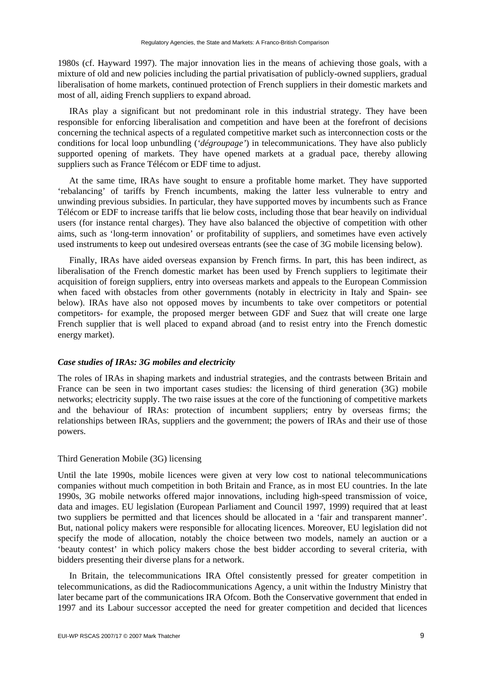1980s (cf. Hayward 1997). The major innovation lies in the means of achieving those goals, with a mixture of old and new policies including the partial privatisation of publicly-owned suppliers, gradual liberalisation of home markets, continued protection of French suppliers in their domestic markets and most of all, aiding French suppliers to expand abroad.

IRAs play a significant but not predominant role in this industrial strategy. They have been responsible for enforcing liberalisation and competition and have been at the forefront of decisions concerning the technical aspects of a regulated competitive market such as interconnection costs or the conditions for local loop unbundling (*'dégroupage'*) in telecommunications. They have also publicly supported opening of markets. They have opened markets at a gradual pace, thereby allowing suppliers such as France Télécom or EDF time to adjust.

At the same time, IRAs have sought to ensure a profitable home market. They have supported 'rebalancing' of tariffs by French incumbents, making the latter less vulnerable to entry and unwinding previous subsidies. In particular, they have supported moves by incumbents such as France Télécom or EDF to increase tariffs that lie below costs, including those that bear heavily on individual users (for instance rental charges). They have also balanced the objective of competition with other aims, such as 'long-term innovation' or profitability of suppliers, and sometimes have even actively used instruments to keep out undesired overseas entrants (see the case of 3G mobile licensing below).

Finally, IRAs have aided overseas expansion by French firms. In part, this has been indirect, as liberalisation of the French domestic market has been used by French suppliers to legitimate their acquisition of foreign suppliers, entry into overseas markets and appeals to the European Commission when faced with obstacles from other governments (notably in electricity in Italy and Spain- see below). IRAs have also not opposed moves by incumbents to take over competitors or potential competitors- for example, the proposed merger between GDF and Suez that will create one large French supplier that is well placed to expand abroad (and to resist entry into the French domestic energy market).

## *Case studies of IRAs: 3G mobiles and electricity*

The roles of IRAs in shaping markets and industrial strategies, and the contrasts between Britain and France can be seen in two important cases studies: the licensing of third generation (3G) mobile networks; electricity supply. The two raise issues at the core of the functioning of competitive markets and the behaviour of IRAs: protection of incumbent suppliers; entry by overseas firms; the relationships between IRAs, suppliers and the government; the powers of IRAs and their use of those powers.

## Third Generation Mobile (3G) licensing

Until the late 1990s, mobile licences were given at very low cost to national telecommunications companies without much competition in both Britain and France, as in most EU countries. In the late 1990s, 3G mobile networks offered major innovations, including high-speed transmission of voice, data and images. EU legislation (European Parliament and Council 1997, 1999) required that at least two suppliers be permitted and that licences should be allocated in a 'fair and transparent manner'. But, national policy makers were responsible for allocating licences. Moreover, EU legislation did not specify the mode of allocation, notably the choice between two models, namely an auction or a 'beauty contest' in which policy makers chose the best bidder according to several criteria, with bidders presenting their diverse plans for a network.

In Britain, the telecommunications IRA Oftel consistently pressed for greater competition in telecommunications, as did the Radiocommunications Agency, a unit within the Industry Ministry that later became part of the communications IRA Ofcom. Both the Conservative government that ended in 1997 and its Labour successor accepted the need for greater competition and decided that licences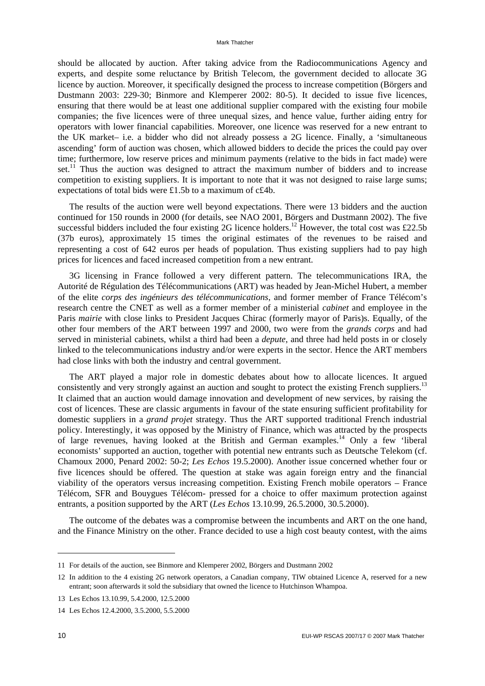should be allocated by auction. After taking advice from the Radiocommunications Agency and experts, and despite some reluctance by British Telecom, the government decided to allocate 3G licence by auction. Moreover, it specifically designed the process to increase competition (Börgers and Dustmann 2003: 229-30; Binmore and Klemperer 2002: 80-5). It decided to issue five licences, ensuring that there would be at least one additional supplier compared with the existing four mobile companies; the five licences were of three unequal sizes, and hence value, further aiding entry for operators with lower financial capabilities. Moreover, one licence was reserved for a new entrant to the UK market– i.e. a bidder who did not already possess a 2G licence. Finally, a 'simultaneous ascending' form of auction was chosen, which allowed bidders to decide the prices the could pay over time; furthermore, low reserve prices and minimum payments (relative to the bids in fact made) were set.<sup>11</sup> Thus the auction was designed to attract the maximum number of bidders and to increase competition to existing suppliers. It is important to note that it was not designed to raise large sums; expectations of total bids were £1.5b to a maximum of c£4b.

The results of the auction were well beyond expectations. There were 13 bidders and the auction continued for 150 rounds in 2000 (for details, see NAO 2001, Börgers and Dustmann 2002). The five successful bidders included the four existing 2G licence holders.<sup>12</sup> However, the total cost was £22.5b (37b euros), approximately 15 times the original estimates of the revenues to be raised and representing a cost of 642 euros per heads of population. Thus existing suppliers had to pay high prices for licences and faced increased competition from a new entrant.

3G licensing in France followed a very different pattern. The telecommunications IRA, the Autorité de Régulation des Télécommunications (ART) was headed by Jean-Michel Hubert, a member of the elite *corps des ingénieurs des télécommunications*, and former member of France Télécom's research centre the CNET as well as a former member of a ministerial *cabinet* and employee in the Paris *mairie* with close links to President Jacques Chirac (formerly mayor of Paris)s. Equally, of the other four members of the ART between 1997 and 2000, two were from the *grands corps* and had served in ministerial cabinets, whilst a third had been a *depute*, and three had held posts in or closely linked to the telecommunications industry and/or were experts in the sector. Hence the ART members had close links with both the industry and central government.

The ART played a major role in domestic debates about how to allocate licences. It argued consistently and very strongly against an auction and sought to protect the existing French suppliers.<sup>13</sup> It claimed that an auction would damage innovation and development of new services, by raising the cost of licences. These are classic arguments in favour of the state ensuring sufficient profitability for domestic suppliers in a *grand projet* strategy. Thus the ART supported traditional French industrial policy. Interestingly, it was opposed by the Ministry of Finance, which was attracted by the prospects of large revenues, having looked at the British and German examples.14 Only a few 'liberal economists' supported an auction, together with potential new entrants such as Deutsche Telekom (cf. Chamoux 2000, Penard 2002: 50-2; *Les Echos* 19.5.2000). Another issue concerned whether four or five licences should be offered. The question at stake was again foreign entry and the financial viability of the operators versus increasing competition. Existing French mobile operators – France Télécom, SFR and Bouygues Télécom- pressed for a choice to offer maximum protection against entrants, a position supported by the ART (*Les Echos* 13.10.99, 26.5.2000, 30.5.2000).

The outcome of the debates was a compromise between the incumbents and ART on the one hand, and the Finance Ministry on the other. France decided to use a high cost beauty contest, with the aims

-

<sup>11</sup> For details of the auction, see Binmore and Klemperer 2002, Börgers and Dustmann 2002

<sup>12</sup> In addition to the 4 existing 2G network operators, a Canadian company, TIW obtained Licence A, reserved for a new entrant; soon afterwards it sold the subsidiary that owned the licence to Hutchinson Whampoa.

<sup>13</sup> Les Echos 13.10.99, 5.4.2000, 12.5.2000

<sup>14</sup> Les Echos 12.4.2000, 3.5.2000, 5.5.2000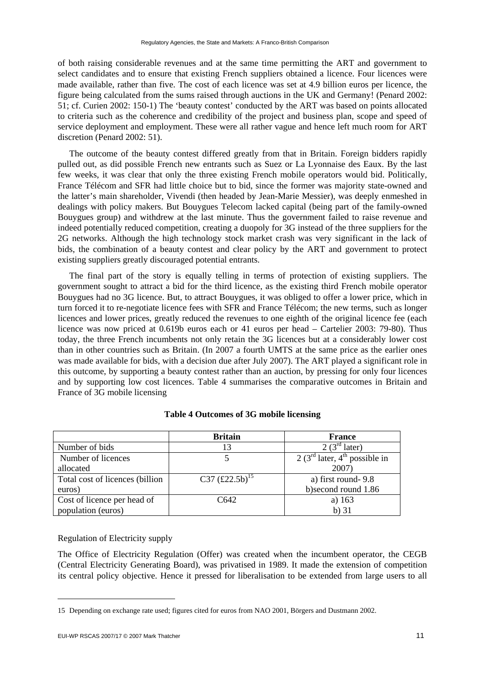of both raising considerable revenues and at the same time permitting the ART and government to select candidates and to ensure that existing French suppliers obtained a licence. Four licences were made available, rather than five. The cost of each licence was set at 4.9 billion euros per licence, the figure being calculated from the sums raised through auctions in the UK and Germany! (Penard 2002: 51; cf. Curien 2002: 150-1) The 'beauty contest' conducted by the ART was based on points allocated to criteria such as the coherence and credibility of the project and business plan, scope and speed of service deployment and employment. These were all rather vague and hence left much room for ART discretion (Penard 2002: 51).

The outcome of the beauty contest differed greatly from that in Britain. Foreign bidders rapidly pulled out, as did possible French new entrants such as Suez or La Lyonnaise des Eaux. By the last few weeks, it was clear that only the three existing French mobile operators would bid. Politically, France Télécom and SFR had little choice but to bid, since the former was majority state-owned and the latter's main shareholder, Vivendi (then headed by Jean-Marie Messier), was deeply enmeshed in dealings with policy makers. But Bouygues Telecom lacked capital (being part of the family-owned Bouygues group) and withdrew at the last minute. Thus the government failed to raise revenue and indeed potentially reduced competition, creating a duopoly for 3G instead of the three suppliers for the 2G networks. Although the high technology stock market crash was very significant in the lack of bids, the combination of a beauty contest and clear policy by the ART and government to protect existing suppliers greatly discouraged potential entrants.

The final part of the story is equally telling in terms of protection of existing suppliers. The government sought to attract a bid for the third licence, as the existing third French mobile operator Bouygues had no 3G licence. But, to attract Bouygues, it was obliged to offer a lower price, which in turn forced it to re-negotiate licence fees with SFR and France Télécom; the new terms, such as longer licences and lower prices, greatly reduced the revenues to one eighth of the original licence fee (each licence was now priced at 0.619b euros each or 41 euros per head – Cartelier 2003: 79-80). Thus today, the three French incumbents not only retain the 3G licences but at a considerably lower cost than in other countries such as Britain. (In 2007 a fourth UMTS at the same price as the earlier ones was made available for bids, with a decision due after July 2007). The ART played a significant role in this outcome, by supporting a beauty contest rather than an auction, by pressing for only four licences and by supporting low cost licences. Table 4 summarises the comparative outcomes in Britain and France of 3G mobile licensing

|                                  | <b>Britain</b>             | <b>France</b>                  |
|----------------------------------|----------------------------|--------------------------------|
| Number of bids                   |                            | $2(3^{rd}$ later)              |
| Number of licences               |                            | $2(3rd later, 4th possible in$ |
| allocated                        |                            | 2007)                          |
| Total cost of licences (billion) | C37 $(\pounds 22.5b)^{15}$ | a) first round-9.8             |
| euros)                           |                            | b)second round 1.86            |
| Cost of licence per head of      | C642                       | a) $163$                       |
| population (euros)               |                            | $b)$ 31                        |

## **Table 4 Outcomes of 3G mobile licensing**

## Regulation of Electricity supply

The Office of Electricity Regulation (Offer) was created when the incumbent operator, the CEGB (Central Electricity Generating Board), was privatised in 1989. It made the extension of competition its central policy objective. Hence it pressed for liberalisation to be extended from large users to all

<sup>15</sup> Depending on exchange rate used; figures cited for euros from NAO 2001, Börgers and Dustmann 2002.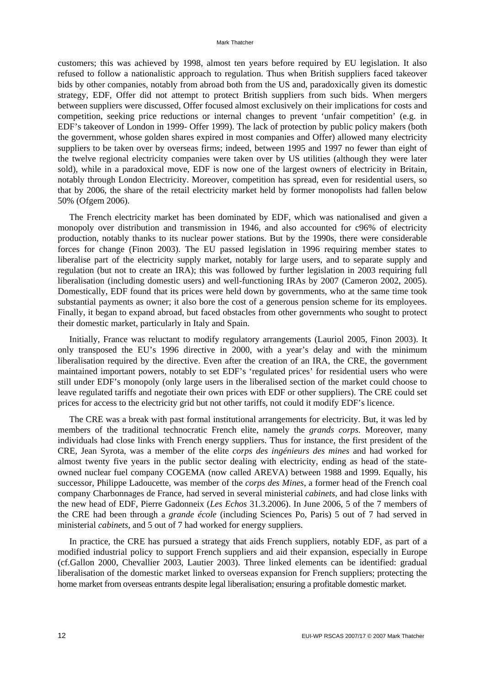customers; this was achieved by 1998, almost ten years before required by EU legislation. It also refused to follow a nationalistic approach to regulation. Thus when British suppliers faced takeover bids by other companies, notably from abroad both from the US and, paradoxically given its domestic strategy, EDF, Offer did not attempt to protect British suppliers from such bids. When mergers between suppliers were discussed, Offer focused almost exclusively on their implications for costs and competition, seeking price reductions or internal changes to prevent 'unfair competition' (e.g. in EDF's takeover of London in 1999- Offer 1999). The lack of protection by public policy makers (both the government, whose golden shares expired in most companies and Offer) allowed many electricity suppliers to be taken over by overseas firms; indeed, between 1995 and 1997 no fewer than eight of the twelve regional electricity companies were taken over by US utilities (although they were later sold), while in a paradoxical move, EDF is now one of the largest owners of electricity in Britain, notably through London Electricity. Moreover, competition has spread, even for residential users, so that by 2006, the share of the retail electricity market held by former monopolists had fallen below 50% (Ofgem 2006).

The French electricity market has been dominated by EDF, which was nationalised and given a monopoly over distribution and transmission in 1946, and also accounted for c96% of electricity production, notably thanks to its nuclear power stations. But by the 1990s, there were considerable forces for change (Finon 2003). The EU passed legislation in 1996 requiring member states to liberalise part of the electricity supply market, notably for large users, and to separate supply and regulation (but not to create an IRA); this was followed by further legislation in 2003 requiring full liberalisation (including domestic users) and well-functioning IRAs by 2007 (Cameron 2002, 2005). Domestically, EDF found that its prices were held down by governments, who at the same time took substantial payments as owner; it also bore the cost of a generous pension scheme for its employees. Finally, it began to expand abroad, but faced obstacles from other governments who sought to protect their domestic market, particularly in Italy and Spain.

Initially, France was reluctant to modify regulatory arrangements (Lauriol 2005, Finon 2003). It only transposed the EU's 1996 directive in 2000, with a year's delay and with the minimum liberalisation required by the directive. Even after the creation of an IRA, the CRE, the government maintained important powers, notably to set EDF's 'regulated prices' for residential users who were still under EDF's monopoly (only large users in the liberalised section of the market could choose to leave regulated tariffs and negotiate their own prices with EDF or other suppliers). The CRE could set prices for access to the electricity grid but not other tariffs, not could it modify EDF's licence.

The CRE was a break with past formal institutional arrangements for electricity. But, it was led by members of the traditional technocratic French elite, namely the *grands corps.* Moreover, many individuals had close links with French energy suppliers. Thus for instance, the first president of the CRE, Jean Syrota, was a member of the elite *corps des ingénieurs des mines* and had worked for almost twenty five years in the public sector dealing with electricity, ending as head of the stateowned nuclear fuel company COGEMA (now called AREVA) between 1988 and 1999. Equally, his successor, Philippe Ladoucette, was member of the *corps des Mines*, a former head of the French coal company Charbonnages de France, had served in several ministerial *cabinets*, and had close links with the new head of EDF, Pierre Gadonneix (*Les Echos* 31.3.2006). In June 2006, 5 of the 7 members of the CRE had been through a *grande école* (including Sciences Po, Paris) 5 out of 7 had served in ministerial *cabinets*, and 5 out of 7 had worked for energy suppliers.

In practice, the CRE has pursued a strategy that aids French suppliers, notably EDF, as part of a modified industrial policy to support French suppliers and aid their expansion, especially in Europe (cf.Gallon 2000, Chevallier 2003, Lautier 2003). Three linked elements can be identified: gradual liberalisation of the domestic market linked to overseas expansion for French suppliers; protecting the home market from overseas entrants despite legal liberalisation; ensuring a profitable domestic market.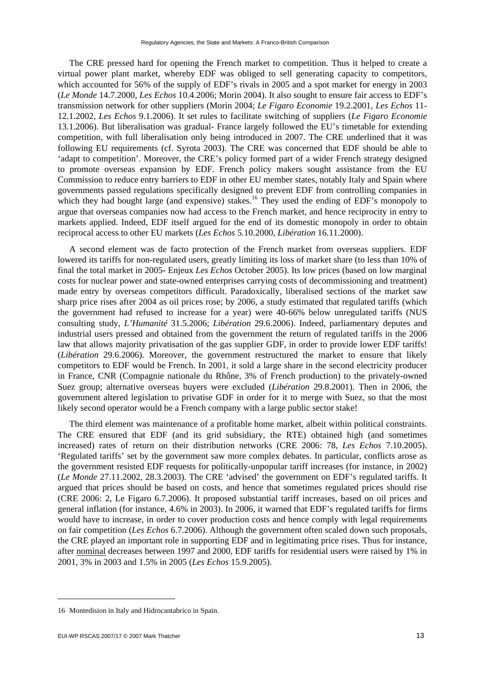The CRE pressed hard for opening the French market to competition. Thus it helped to create a virtual power plant market, whereby EDF was obliged to sell generating capacity to competitors, which accounted for 56% of the supply of EDF's rivals in 2005 and a spot market for energy in 2003 (*Le Monde* 14.7.2000, *Les Echos* 10.4.2006; Morin 2004). It also sought to ensure fair access to EDF's transmission network for other suppliers (Morin 2004; *Le Figaro Economie* 19.2.2001, *Les Echos* 11- 12.1.2002, *Les Echos* 9.1.2006). It set rules to facilitate switching of suppliers (*Le Figaro Economie* 13.1.2006). But liberalisation was gradual- France largely followed the EU's timetable for extending competition, with full liberalisation only being introduced in 2007. The CRE underlined that it was following EU requirements (cf. Syrota 2003). The CRE was concerned that EDF should be able to 'adapt to competition'. Moreover, the CRE's policy formed part of a wider French strategy designed to promote overseas expansion by EDF. French policy makers sought assistance from the EU Commission to reduce entry barriers to EDF in other EU member states, notably Italy and Spain where governments passed regulations specifically designed to prevent EDF from controlling companies in which they had bought large (and expensive) stakes.<sup>16</sup> They used the ending of EDF's monopoly to argue that overseas companies now had access to the French market, and hence reciprocity in entry to markets applied. Indeed, EDF itself argued for the end of its domestic monopoly in order to obtain reciprocal access to other EU markets (*Les Echos* 5.10.2000, *Libération* 16.11.2000).

A second element was de facto protection of the French market from overseas suppliers. EDF lowered its tariffs for non-regulated users, greatly limiting its loss of market share (to less than 10% of final the total market in 2005- Enjeux *Les Echos* October 2005). Its low prices (based on low marginal costs for nuclear power and state-owned enterprises carrying costs of decommissioning and treatment) made entry by overseas competitors difficult. Paradoxically, liberalised sections of the market saw sharp price rises after 2004 as oil prices rose; by 2006, a study estimated that regulated tariffs (which the government had refused to increase for a year) were 40-66% below unregulated tariffs (NUS consulting study, *L'Humanité* 31.5.2006; *Libération* 29.6.2006). Indeed, parliamentary deputes and industrial users pressed and obtained from the government the return of regulated tariffs in the 2006 law that allows majority privatisation of the gas supplier GDF, in order to provide lower EDF tariffs! (*Libération* 29.6.2006). Moreover, the government restructured the market to ensure that likely competitors to EDF would be French. In 2001, it sold a large share in the second electricity producer in France, CNR (Compagnie nationale du Rhône, 3% of French production) to the privately-owned Suez group; alternative overseas buyers were excluded (*Libération* 29.8.2001). Then in 2006, the government altered legislation to privatise GDF in order for it to merge with Suez, so that the most likely second operator would be a French company with a large public sector stake!

The third element was maintenance of a profitable home market, albeit within political constraints. The CRE ensured that EDF (and its grid subsidiary, the RTE) obtained high (and sometimes increased) rates of return on their distribution networks (CRE 2006: 78, *Les Echos* 7.10.2005). 'Regulated tariffs' set by the government saw more complex debates. In particular, conflicts arose as the government resisted EDF requests for politically-unpopular tariff increases (for instance, in 2002) (*Le Monde* 27.11.2002, 28.3.2003). The CRE 'advised' the government on EDF's regulated tariffs. It argued that prices should be based on costs, and hence that sometimes regulated prices should rise (CRE 2006: 2, Le Figaro 6.7.2006). It proposed substantial tariff increases, based on oil prices and general inflation (for instance, 4.6% in 2003). In 2006, it warned that EDF's regulated tariffs for firms would have to increase, in order to cover production costs and hence comply with legal requirements on fair competition (*Les Echos* 6.7.2006). Although the government often scaled down such proposals, the CRE played an important role in supporting EDF and in legitimating price rises. Thus for instance, after nominal decreases between 1997 and 2000, EDF tariffs for residential users were raised by 1% in 2001, 3% in 2003 and 1.5% in 2005 (*Les Echos* 15.9.2005).

<sup>16</sup> Montedision in Italy and Hidrocantabrico in Spain.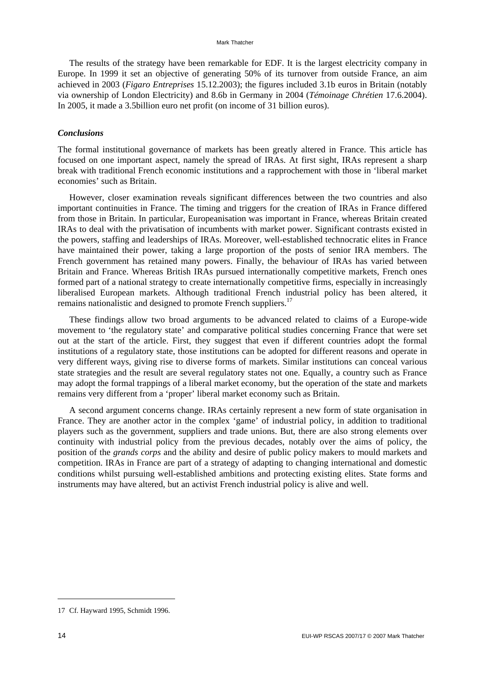The results of the strategy have been remarkable for EDF. It is the largest electricity company in Europe. In 1999 it set an objective of generating 50% of its turnover from outside France, an aim achieved in 2003 (*Figaro Entreprises* 15.12.2003); the figures included 3.1b euros in Britain (notably via ownership of London Electricity) and 8.6b in Germany in 2004 (*Témoinage Chrétien* 17.6.2004). In 2005, it made a 3.5billion euro net profit (on income of 31 billion euros).

#### *Conclusions*

The formal institutional governance of markets has been greatly altered in France. This article has focused on one important aspect, namely the spread of IRAs. At first sight, IRAs represent a sharp break with traditional French economic institutions and a rapprochement with those in 'liberal market economies' such as Britain.

However, closer examination reveals significant differences between the two countries and also important continuities in France. The timing and triggers for the creation of IRAs in France differed from those in Britain. In particular, Europeanisation was important in France, whereas Britain created IRAs to deal with the privatisation of incumbents with market power. Significant contrasts existed in the powers, staffing and leaderships of IRAs. Moreover, well-established technocratic elites in France have maintained their power, taking a large proportion of the posts of senior IRA members. The French government has retained many powers. Finally, the behaviour of IRAs has varied between Britain and France. Whereas British IRAs pursued internationally competitive markets, French ones formed part of a national strategy to create internationally competitive firms, especially in increasingly liberalised European markets. Although traditional French industrial policy has been altered, it remains nationalistic and designed to promote French suppliers.<sup>17</sup>

These findings allow two broad arguments to be advanced related to claims of a Europe-wide movement to 'the regulatory state' and comparative political studies concerning France that were set out at the start of the article. First, they suggest that even if different countries adopt the formal institutions of a regulatory state, those institutions can be adopted for different reasons and operate in very different ways, giving rise to diverse forms of markets. Similar institutions can conceal various state strategies and the result are several regulatory states not one. Equally, a country such as France may adopt the formal trappings of a liberal market economy, but the operation of the state and markets remains very different from a 'proper' liberal market economy such as Britain.

A second argument concerns change. IRAs certainly represent a new form of state organisation in France. They are another actor in the complex 'game' of industrial policy, in addition to traditional players such as the government, suppliers and trade unions. But, there are also strong elements over continuity with industrial policy from the previous decades, notably over the aims of policy, the position of the *grands corps* and the ability and desire of public policy makers to mould markets and competition. IRAs in France are part of a strategy of adapting to changing international and domestic conditions whilst pursuing well-established ambitions and protecting existing elites. State forms and instruments may have altered, but an activist French industrial policy is alive and well.

<sup>17</sup> Cf. Hayward 1995, Schmidt 1996.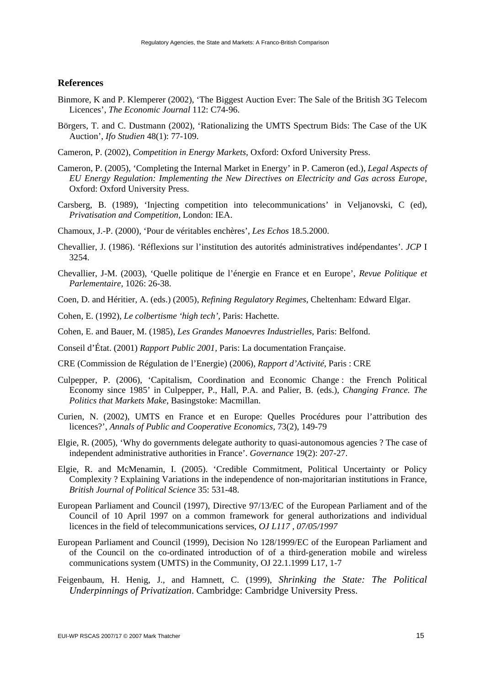## **References**

- Binmore, K and P. Klemperer (2002), 'The Biggest Auction Ever: The Sale of the British 3G Telecom Licences', *The Economic Journal* 112: C74-96.
- Börgers, T. and C. Dustmann (2002), 'Rationalizing the UMTS Spectrum Bids: The Case of the UK Auction', *Ifo Studien* 48(1): 77-109.
- Cameron, P. (2002), *Competition in Energy Markets,* Oxford: Oxford University Press.
- Cameron, P. (2005), 'Completing the Internal Market in Energy' in P. Cameron (ed.), *Legal Aspects of EU Energy Regulation: Implementing the New Directives on Electricity and Gas across Europe,* Oxford: Oxford University Press.
- Carsberg, B. (1989), 'Injecting competition into telecommunications' in Veljanovski, C (ed), *Privatisation and Competition,* London: IEA.
- Chamoux, J.-P. (2000), 'Pour de véritables enchères', *Les Echos* 18.5.2000.
- Chevallier, J. (1986). 'Réflexions sur l'institution des autorités administratives indépendantes'. *JCP* I 3254.
- Chevallier, J-M. (2003), 'Quelle politique de l'énergie en France et en Europe', *Revue Politique et Parlementaire,* 1026: 26-38.
- Coen, D. and Héritier, A. (eds.) (2005), *Refining Regulatory Regimes*, Cheltenham: Edward Elgar.
- Cohen, E. (1992), *Le colbertisme 'high tech',* Paris: Hachette.
- Cohen, E. and Bauer, M. (1985), *Les Grandes Manoevres Industrielles,* Paris: Belfond.
- Conseil d'État. (2001) *Rapport Public 2001,* Paris: La documentation Française.
- CRE (Commission de Régulation de l'Energie) (2006), *Rapport d'Activité*, Paris : CRE
- Culpepper, P. (2006), 'Capitalism, Coordination and Economic Change : the French Political Economy since 1985' in Culpepper, P., Hall, P.A. and Palier, B. (eds.), *Changing France. The Politics that Markets Make*, Basingstoke: Macmillan.
- Curien, N. (2002), UMTS en France et en Europe: Quelles Procédures pour l'attribution des licences?', *Annals of Public and Cooperative Economics,* 73(2), 149-79
- Elgie, R. (2005), 'Why do governments delegate authority to quasi-autonomous agencies ? The case of independent administrative authorities in France'. *Governance* 19(2): 207-27.
- Elgie, R. and McMenamin, I. (2005). 'Credible Commitment, Political Uncertainty or Policy Complexity ? Explaining Variations in the independence of non-majoritarian institutions in France, *British Journal of Political Science* 35: 531-48.
- European Parliament and Council (1997), Directive 97/13/EC of the European Parliament and of the Council of 10 April 1997 on a common framework for general authorizations and individual licences in the field of telecommunications services, *OJ L117 , 07/05/1997*
- European Parliament and Council (1999), Decision No 128/1999/EC of the European Parliament and of the Council on the co-ordinated introduction of of a third-generation mobile and wireless communications system (UMTS) in the Community, OJ 22.1.1999 L17, 1-7
- Feigenbaum, H. Henig, J., and Hamnett, C. (1999), *Shrinking the State: The Political Underpinnings of Privatization*. Cambridge: Cambridge University Press.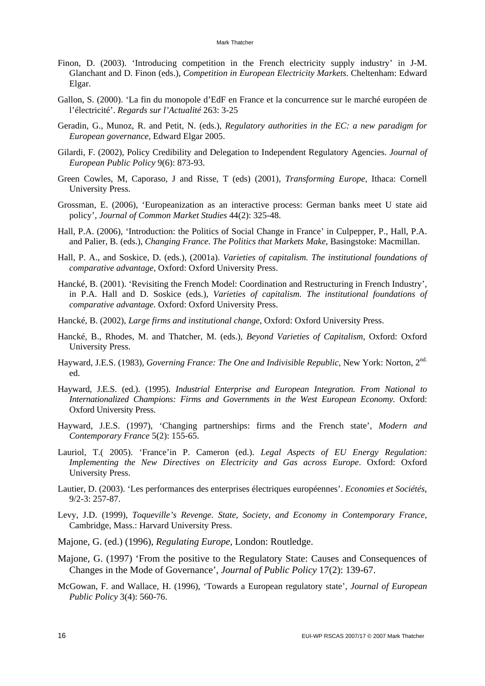- Finon, D. (2003). 'Introducing competition in the French electricity supply industry' in J-M. Glanchant and D. Finon (eds.), *Competition in European Electricity Markets*. Cheltenham: Edward Elgar.
- Gallon, S. (2000). 'La fin du monopole d'EdF en France et la concurrence sur le marché européen de l'électricité'. *Regards sur l'Actualité* 263: 3-25
- Geradin, G., Munoz, R. and Petit, N. (eds.), *Regulatory authorities in the EC: a new paradigm for European governance,* Edward Elgar 2005.
- Gilardi, F. (2002), Policy Credibility and Delegation to Independent Regulatory Agencies. *Journal of European Public Policy* 9(6): 873-93.
- Green Cowles, M, Caporaso, J and Risse, T (eds) (2001), *Transforming Europe*, Ithaca: Cornell University Press.
- Grossman, E. (2006), 'Europeanization as an interactive process: German banks meet U state aid policy'*, Journal of Common Market Studies* 44(2): 325-48.
- Hall, P.A. (2006), 'Introduction: the Politics of Social Change in France' in Culpepper, P., Hall, P.A. and Palier, B. (eds.), *Changing France. The Politics that Markets Make*, Basingstoke: Macmillan.
- Hall, P. A., and Soskice, D. (eds.), (2001a). *Varieties of capitalism. The institutional foundations of comparative advantage,* Oxford: Oxford University Press.
- Hancké, B. (2001). 'Revisiting the French Model: Coordination and Restructuring in French Industry', in P.A. Hall and D. Soskice (eds.), *Varieties of capitalism. The institutional foundations of comparative advantage.* Oxford: Oxford University Press.
- Hancké, B. (2002), *Large firms and institutional change*, Oxford: Oxford University Press.
- Hancké, B., Rhodes, M. and Thatcher, M. (eds.), *Beyond Varieties of Capitalism*, Oxford: Oxford University Press.
- Hayward, J.E.S. (1983), *Governing France: The One and Indivisible Republic,* New York: Norton, 2nd. ed.
- Hayward, J.E.S. (ed.). (1995). *Industrial Enterprise and European Integration. From National to Internationalized Champions: Firms and Governments in the West European Economy.* Oxford: Oxford University Press.
- Hayward, J.E.S. (1997), 'Changing partnerships: firms and the French state', *Modern and Contemporary France* 5(2): 155-65.
- Lauriol, T.( 2005). 'France'in P. Cameron (ed.). *Legal Aspects of EU Energy Regulation: Implementing the New Directives on Electricity and Gas across Europe*. Oxford: Oxford University Press.
- Lautier, D. (2003). 'Les performances des enterprises électriques européennes'. *Economies et Sociétés*, 9/2-3: 257-87.
- Levy, J.D. (1999), *Toqueville's Revenge. State, Society, and Economy in Contemporary France*, Cambridge, Mass.: Harvard University Press.
- Majone, G. (ed.) (1996), *Regulating Europe,* London: Routledge.
- Majone, G. (1997) 'From the positive to the Regulatory State: Causes and Consequences of Changes in the Mode of Governance', *Journal of Public Policy* 17(2): 139-67.
- McGowan, F. and Wallace, H. (1996), 'Towards a European regulatory state', *Journal of European Public Policy* 3(4): 560-76.